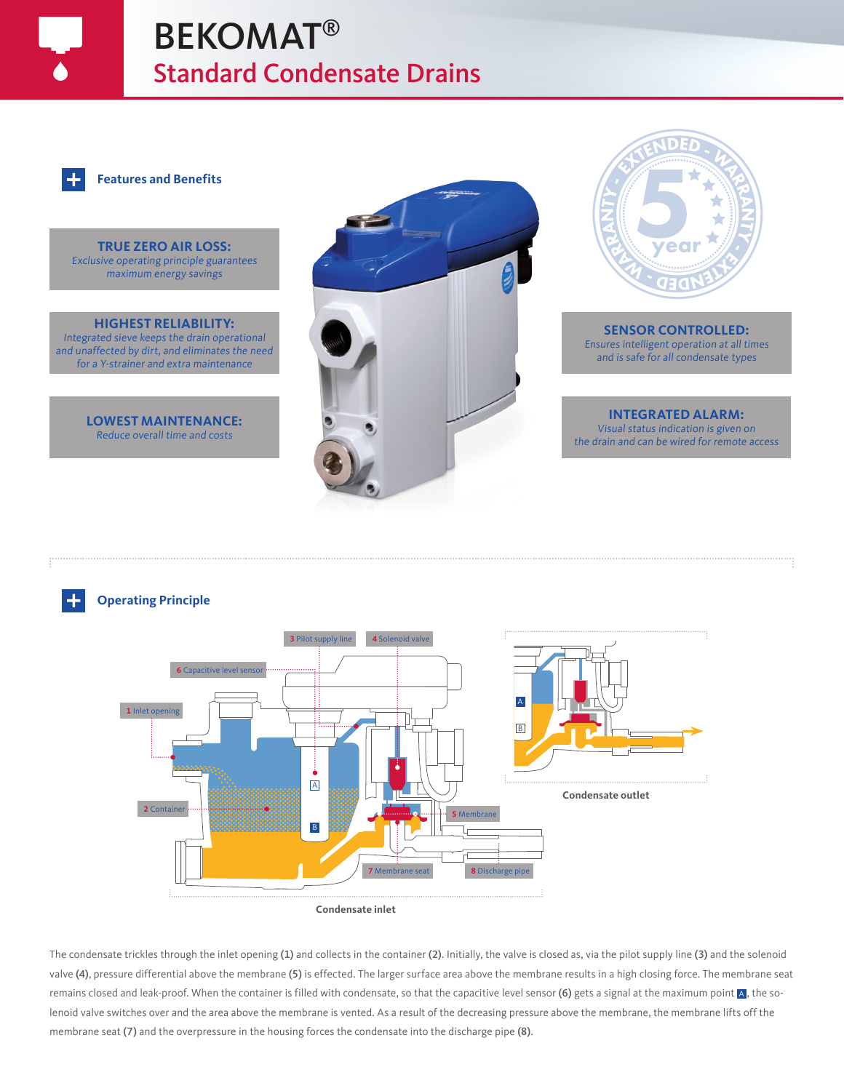# BEKOMAT® Standard Condensate Drains



#### **Features and Benefits**

**TRUE ZERO AIR LOSS:** Exclusive operating principle guarantees maximum energy savings

**HIGHEST RELIABILITY:** Integrated sieve keeps the drain operational and unaffected by dirt, and eliminates the need for a Y-strainer and extra maintenance

> **LOWEST MAINTENANCE:** Reduce overall time and costs





**SENSOR CONTROLLED:** Ensures intelligent operation at all times and is safe for all condensate types

#### **INTEGRATED ALARM:** Visual status indication is given on

the drain and can be wired for remote access

### **Operating Principle**



The condensate trickles through the inlet opening (1) and collects in the container (2). Initially, the valve is closed as, via the pilot supply line (3) and the solenoid valve (4), pressure differential above the membrane (5) is effected. The larger surface area above the membrane results in a high closing force. The membrane seat remains closed and leak-proof. When the container is filled with condensate, so that the capacitive level sensor (6) gets a signal at the maximum point  ${\bf A}$ , the solenoid valve switches over and the area above the membrane is vented. As a result of the decreasing pressure above the membrane, the membrane lifts off the membrane seat (7) and the overpressure in the housing forces the condensate into the discharge pipe (8).